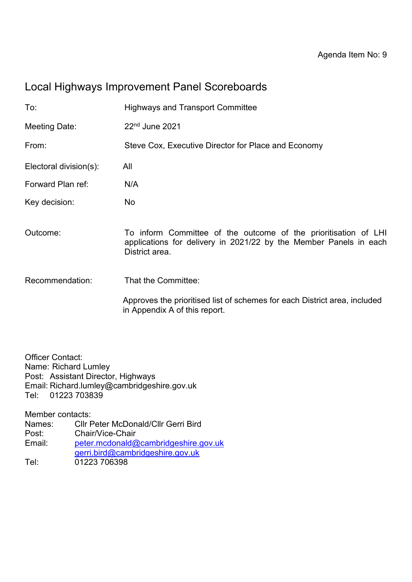## Local Highways Improvement Panel Scoreboards

| To:                    | <b>Highways and Transport Committee</b>                                                                                                                |  |  |
|------------------------|--------------------------------------------------------------------------------------------------------------------------------------------------------|--|--|
| Meeting Date:          | 22 <sup>nd</sup> June 2021                                                                                                                             |  |  |
| From:                  | Steve Cox, Executive Director for Place and Economy                                                                                                    |  |  |
| Electoral division(s): | All                                                                                                                                                    |  |  |
| Forward Plan ref:      | N/A                                                                                                                                                    |  |  |
| Key decision:          | No                                                                                                                                                     |  |  |
| Outcome:               | To inform Committee of the outcome of the prioritisation of LHI<br>applications for delivery in 2021/22 by the Member Panels in each<br>District area. |  |  |
| Recommendation:        | That the Committee:                                                                                                                                    |  |  |
|                        | Approves the prioritised list of schemes for each District area, included<br>in Appendix A of this report.                                             |  |  |

Officer Contact: Name: Richard Lumley Post: Assistant Director, Highways Email: Richard.lumley@cambridgeshire.gov.uk Tel: 01223 703839

Member contacts:

| Names: | <b>CIIr Peter McDonald/CIIr Gerri Bird</b> |
|--------|--------------------------------------------|
| Post:  | Chair/Vice-Chair                           |
| Email: | peter.mcdonald@cambridgeshire.gov.uk       |
|        | gerri.bird@cambridgeshire.gov.uk           |
| Tel:   | 01223 706398                               |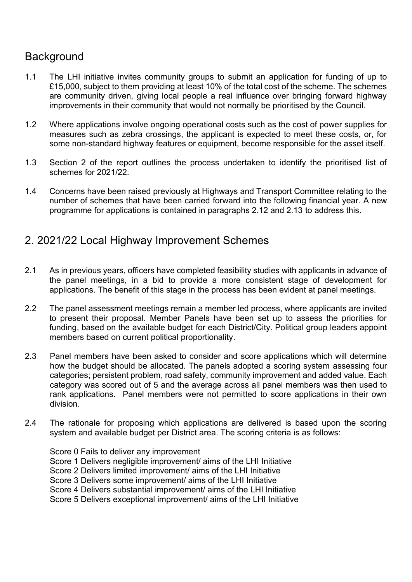## **Background**

- 1.1 The LHI initiative invites community groups to submit an application for funding of up to £15,000, subject to them providing at least 10% of the total cost of the scheme. The schemes are community driven, giving local people a real influence over bringing forward highway improvements in their community that would not normally be prioritised by the Council.
- 1.2 Where applications involve ongoing operational costs such as the cost of power supplies for measures such as zebra crossings, the applicant is expected to meet these costs, or, for some non-standard highway features or equipment, become responsible for the asset itself.
- 1.3 Section 2 of the report outlines the process undertaken to identify the prioritised list of schemes for 2021/22.
- 1.4 Concerns have been raised previously at Highways and Transport Committee relating to the number of schemes that have been carried forward into the following financial year. A new programme for applications is contained in paragraphs 2.12 and 2.13 to address this.

### 2. 2021/22 Local Highway Improvement Schemes

- 2.1 As in previous years, officers have completed feasibility studies with applicants in advance of the panel meetings, in a bid to provide a more consistent stage of development for applications. The benefit of this stage in the process has been evident at panel meetings.
- 2.2 The panel assessment meetings remain a member led process, where applicants are invited to present their proposal. Member Panels have been set up to assess the priorities for funding, based on the available budget for each District/City. Political group leaders appoint members based on current political proportionality.
- 2.3 Panel members have been asked to consider and score applications which will determine how the budget should be allocated. The panels adopted a scoring system assessing four categories; persistent problem, road safety, community improvement and added value. Each category was scored out of 5 and the average across all panel members was then used to rank applications. Panel members were not permitted to score applications in their own division.
- 2.4 The rationale for proposing which applications are delivered is based upon the scoring system and available budget per District area. The scoring criteria is as follows:

Score 0 Fails to deliver any improvement Score 1 Delivers negligible improvement/ aims of the LHI Initiative Score 2 Delivers limited improvement/ aims of the LHI Initiative Score 3 Delivers some improvement/ aims of the LHI Initiative Score 4 Delivers substantial improvement/ aims of the LHI Initiative Score 5 Delivers exceptional improvement/ aims of the LHI Initiative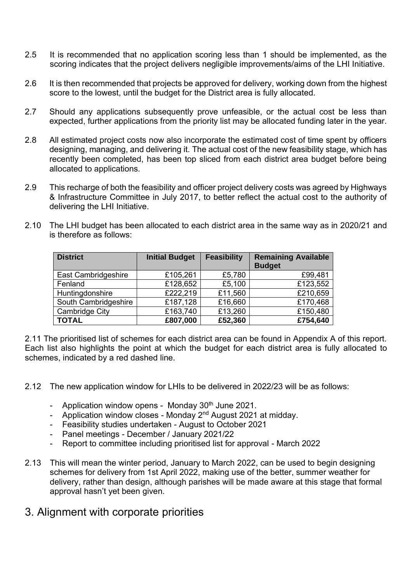- 2.5 It is recommended that no application scoring less than 1 should be implemented, as the scoring indicates that the project delivers negligible improvements/aims of the LHI Initiative.
- 2.6 It is then recommended that projects be approved for delivery, working down from the highest score to the lowest, until the budget for the District area is fully allocated.
- 2.7 Should any applications subsequently prove unfeasible, or the actual cost be less than expected, further applications from the priority list may be allocated funding later in the year.
- 2.8 All estimated project costs now also incorporate the estimated cost of time spent by officers designing, managing, and delivering it. The actual cost of the new feasibility stage, which has recently been completed, has been top sliced from each district area budget before being allocated to applications.
- 2.9 This recharge of both the feasibility and officer project delivery costs was agreed by Highways & Infrastructure Committee in July 2017, to better reflect the actual cost to the authority of delivering the LHI Initiative.
- 2.10 The LHI budget has been allocated to each district area in the same way as in 2020/21 and is therefore as follows:

| <b>District</b>      | <b>Initial Budget</b> | <b>Feasibility</b> | <b>Remaining Available</b><br><b>Budget</b> |
|----------------------|-----------------------|--------------------|---------------------------------------------|
| East Cambridgeshire  | £105,261              | £5,780             | £99,481                                     |
| Fenland              | £128,652              | £5,100             | £123,552                                    |
| Huntingdonshire      | £222,219              | £11,560            | £210,659                                    |
| South Cambridgeshire | £187,128              | £16,660            | £170,468                                    |
| Cambridge City       | £163,740              | £13,260            | £150,480                                    |
| <b>TOTAL</b>         | £807,000              | £52,360            | £754,640                                    |

2.11 The prioritised list of schemes for each district area can be found in Appendix A of this report. Each list also highlights the point at which the budget for each district area is fully allocated to schemes, indicated by a red dashed line.

- 2.12 The new application window for LHIs to be delivered in 2022/23 will be as follows:
	- Application window opens Monday  $30<sup>th</sup>$  June 2021.
	- Application window closes Monday 2<sup>nd</sup> August 2021 at midday.
	- Feasibility studies undertaken August to October 2021
	- Panel meetings December / January 2021/22
	- Report to committee including prioritised list for approval March 2022
- 2.13 This will mean the winter period, January to March 2022, can be used to begin designing schemes for delivery from 1st April 2022, making use of the better, summer weather for delivery, rather than design, although parishes will be made aware at this stage that formal approval hasn't yet been given.
- 3. Alignment with corporate priorities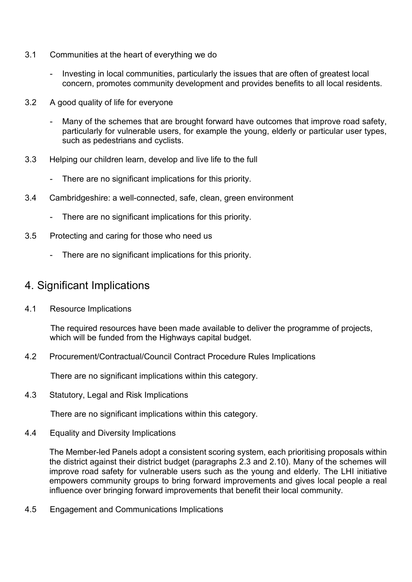- 3.1 Communities at the heart of everything we do
	- Investing in local communities, particularly the issues that are often of greatest local concern, promotes community development and provides benefits to all local residents.
- 3.2 A good quality of life for everyone
	- Many of the schemes that are brought forward have outcomes that improve road safety, particularly for vulnerable users, for example the young, elderly or particular user types, such as pedestrians and cyclists.
- 3.3 Helping our children learn, develop and live life to the full
	- There are no significant implications for this priority.
- 3.4 Cambridgeshire: a well-connected, safe, clean, green environment
	- There are no significant implications for this priority.
- 3.5 Protecting and caring for those who need us
	- There are no significant implications for this priority.

#### 4. Significant Implications

4.1 Resource Implications

 The required resources have been made available to deliver the programme of projects, which will be funded from the Highways capital budget.

4.2 Procurement/Contractual/Council Contract Procedure Rules Implications

There are no significant implications within this category.

4.3 Statutory, Legal and Risk Implications

There are no significant implications within this category.

4.4 Equality and Diversity Implications

The Member-led Panels adopt a consistent scoring system, each prioritising proposals within the district against their district budget (paragraphs 2.3 and 2.10). Many of the schemes will improve road safety for vulnerable users such as the young and elderly. The LHI initiative empowers community groups to bring forward improvements and gives local people a real influence over bringing forward improvements that benefit their local community.

4.5 Engagement and Communications Implications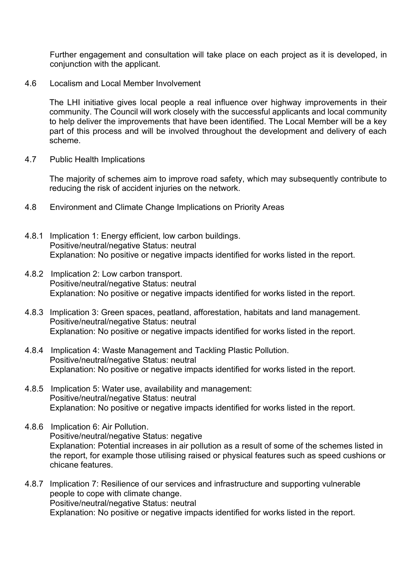Further engagement and consultation will take place on each project as it is developed, in conjunction with the applicant.

4.6 Localism and Local Member Involvement

The LHI initiative gives local people a real influence over highway improvements in their community. The Council will work closely with the successful applicants and local community to help deliver the improvements that have been identified. The Local Member will be a key part of this process and will be involved throughout the development and delivery of each scheme.

4.7 Public Health Implications

The majority of schemes aim to improve road safety, which may subsequently contribute to reducing the risk of accident injuries on the network.

- 4.8 Environment and Climate Change Implications on Priority Areas
- 4.8.1 Implication 1: Energy efficient, low carbon buildings. Positive/neutral/negative Status: neutral Explanation: No positive or negative impacts identified for works listed in the report.
- 4.8.2 Implication 2: Low carbon transport. Positive/neutral/negative Status: neutral Explanation: No positive or negative impacts identified for works listed in the report.
- 4.8.3 Implication 3: Green spaces, peatland, afforestation, habitats and land management. Positive/neutral/negative Status: neutral Explanation: No positive or negative impacts identified for works listed in the report.
- 4.8.4 Implication 4: Waste Management and Tackling Plastic Pollution. Positive/neutral/negative Status: neutral Explanation: No positive or negative impacts identified for works listed in the report.
- 4.8.5 Implication 5: Water use, availability and management: Positive/neutral/negative Status: neutral Explanation: No positive or negative impacts identified for works listed in the report.
- 4.8.6 Implication 6: Air Pollution. Positive/neutral/negative Status: negative Explanation: Potential increases in air pollution as a result of some of the schemes listed in the report, for example those utilising raised or physical features such as speed cushions or chicane features.
- 4.8.7 Implication 7: Resilience of our services and infrastructure and supporting vulnerable people to cope with climate change. Positive/neutral/negative Status: neutral Explanation: No positive or negative impacts identified for works listed in the report.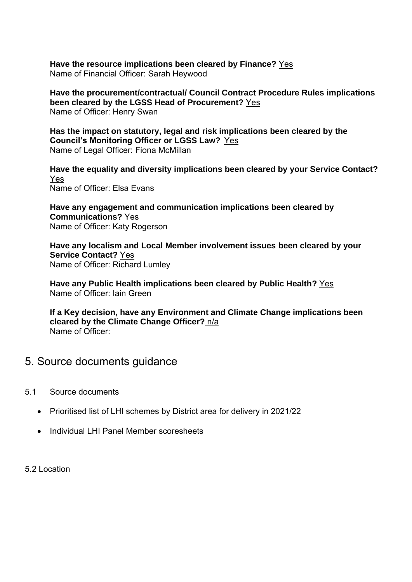**Have the resource implications been cleared by Finance?** Yes Name of Financial Officer: Sarah Heywood

**Have the procurement/contractual/ Council Contract Procedure Rules implications been cleared by the LGSS Head of Procurement?** Yes Name of Officer: Henry Swan

**Has the impact on statutory, legal and risk implications been cleared by the Council's Monitoring Officer or LGSS Law?** Yes Name of Legal Officer: Fiona McMillan

**Have the equality and diversity implications been cleared by your Service Contact?** Yes Name of Officer: Elsa Evans

**Have any engagement and communication implications been cleared by Communications?** Yes Name of Officer: Katy Rogerson

**Have any localism and Local Member involvement issues been cleared by your Service Contact?** Yes Name of Officer: Richard Lumley

**Have any Public Health implications been cleared by Public Health?** Yes Name of Officer: Iain Green

**If a Key decision, have any Environment and Climate Change implications been cleared by the Climate Change Officer?** n/a Name of Officer:

#### 5. Source documents guidance

- 5.1 Source documents
	- Prioritised list of LHI schemes by District area for delivery in 2021/22
	- Individual I HI Panel Member scoresheets

5.2 Location